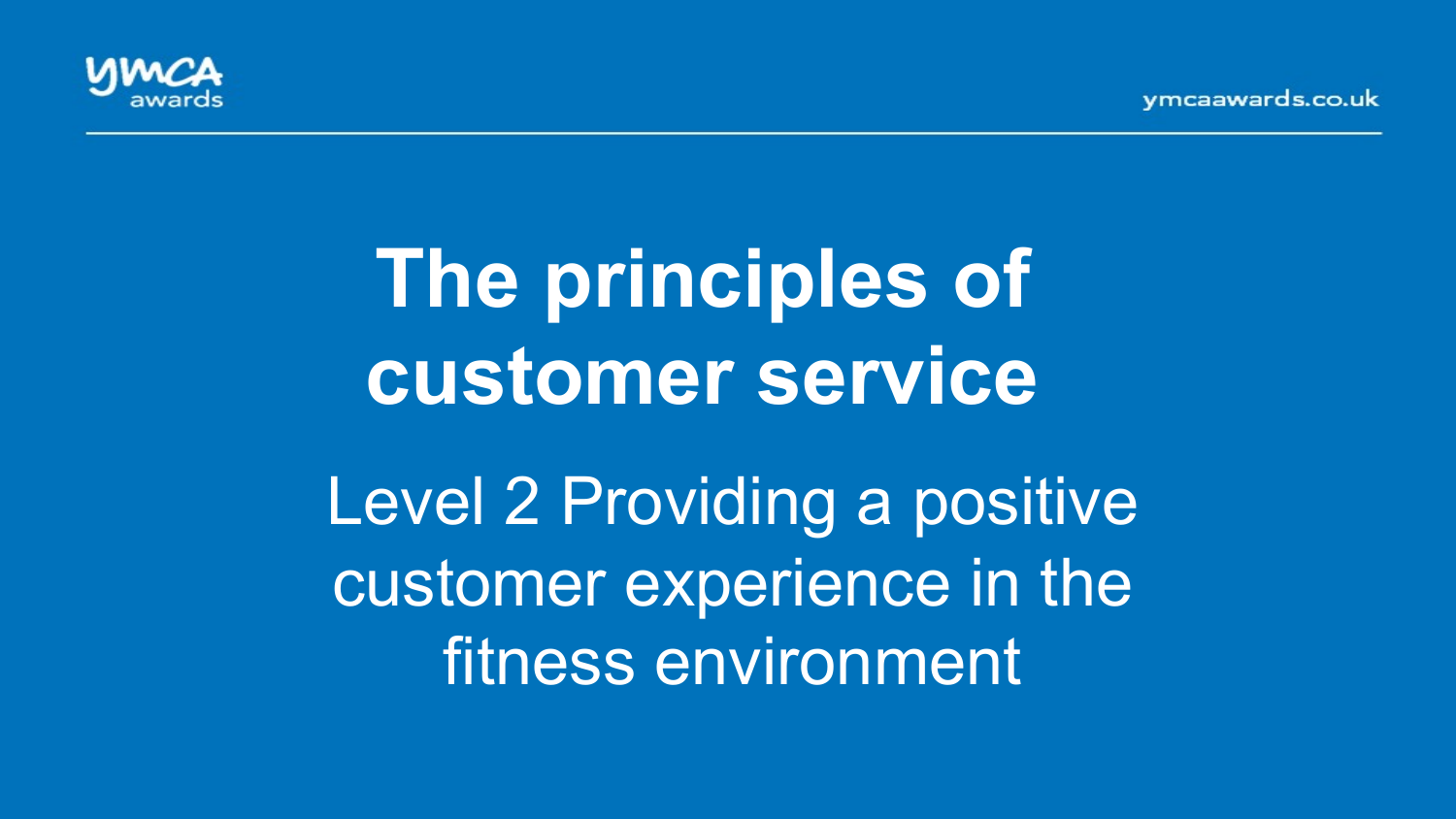vmcaawards.co.uk



# **The principles of customer service**

Level 2 Providing a positive customer experience in the fitness environment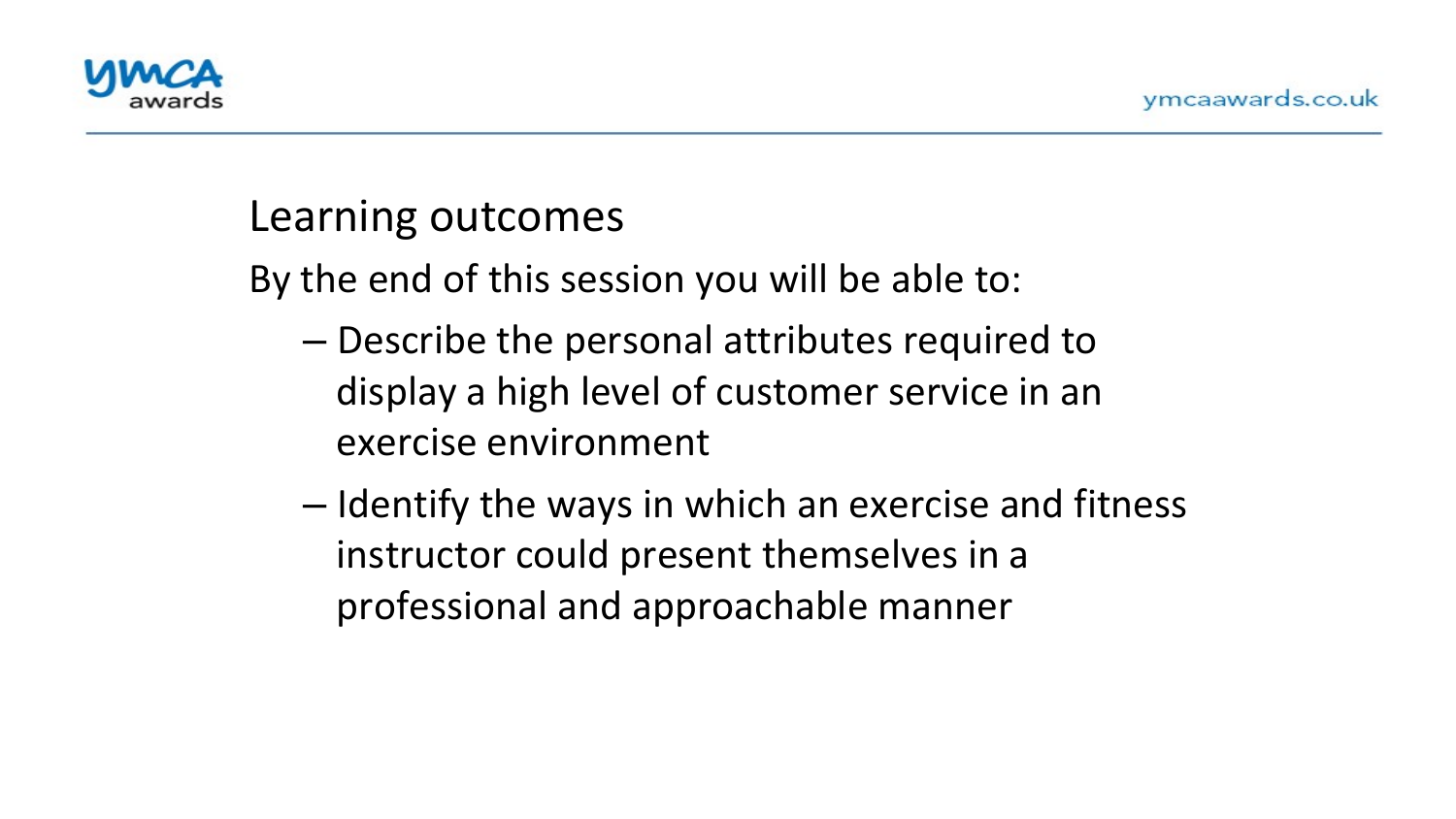

#### Learning outcomes

By the end of this session you will be able to:

- $-$  Describe the personal attributes required to display a high level of customer service in an exercise environment
- $-$  Identify the ways in which an exercise and fitness instructor could present themselves in a professional and approachable manner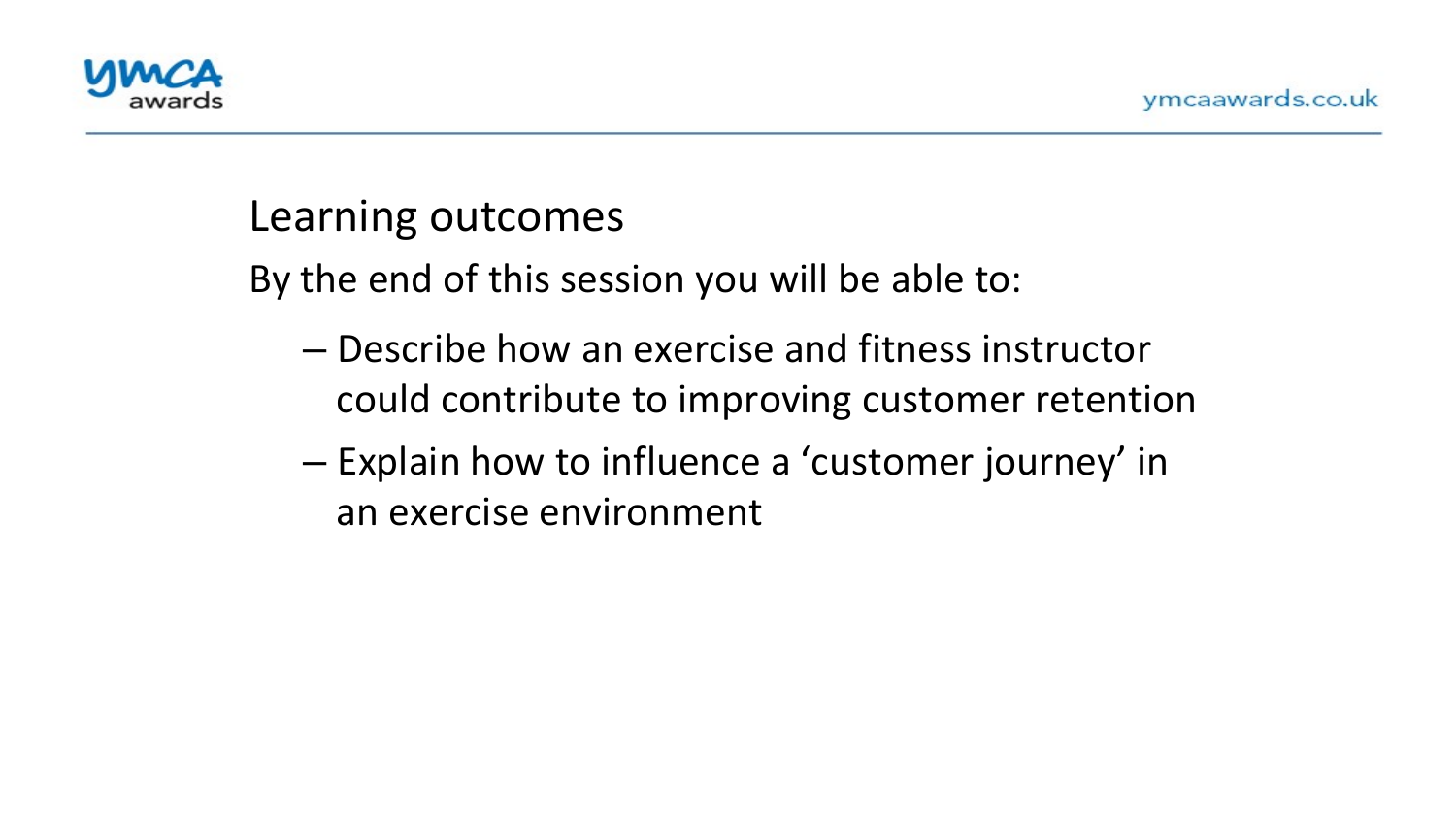

#### Learning outcomes

By the end of this session you will be able to:

- $-$  Describe how an exercise and fitness instructor could contribute to improving customer retention
- $-$  Explain how to influence a 'customer journey' in an exercise environment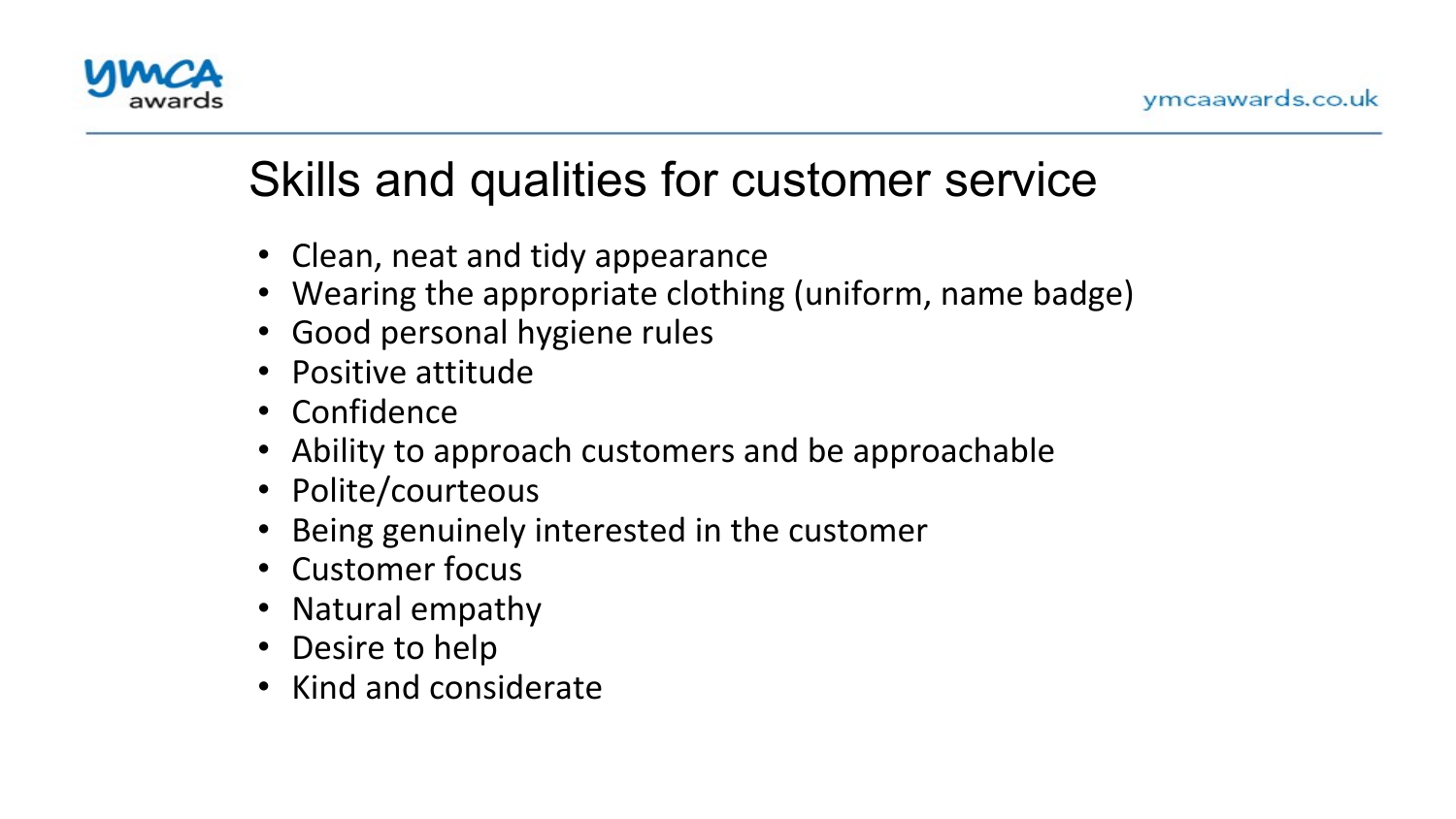

# Skills and qualities for customer service

- Clean, neat and tidy appearance
- Wearing the appropriate clothing (uniform, name badge)
- Good personal hygiene rules
- Positive attitude
- Confidence
- Ability to approach customers and be approachable
- Polite/courteous
- Being genuinely interested in the customer
- Customer focus
- Natural empathy
- Desire to help
- Kind and considerate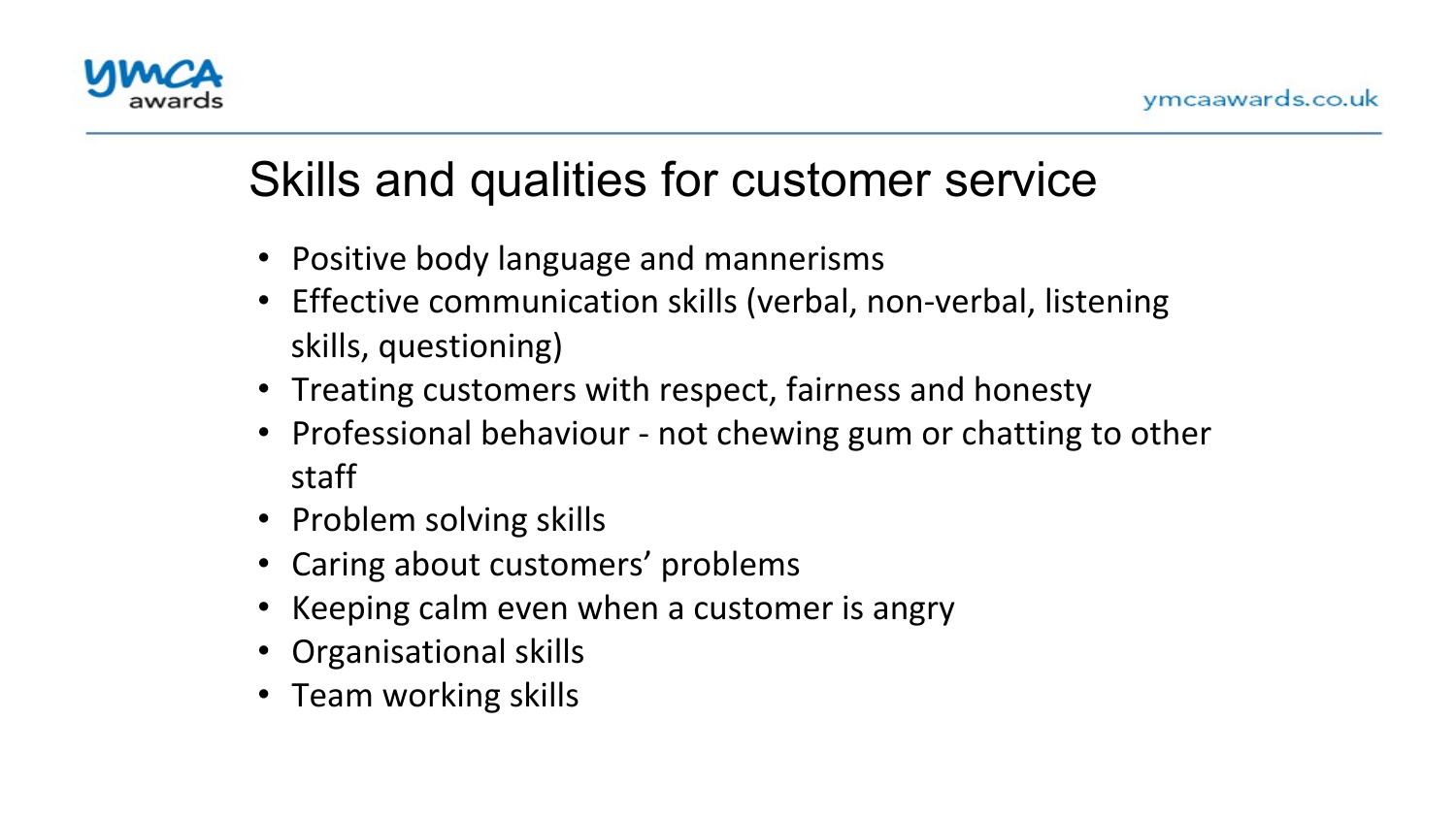

# Skills and qualities for customer service

- Positive body language and mannerisms
- Effective communication skills (verbal, non-verbal, listening skills, questioning)
- Treating customers with respect, fairness and honesty
- Professional behaviour not chewing gum or chatting to other staff
- Problem solving skills
- Caring about customers' problems
- Keeping calm even when a customer is angry
- Organisational skills
- Team working skills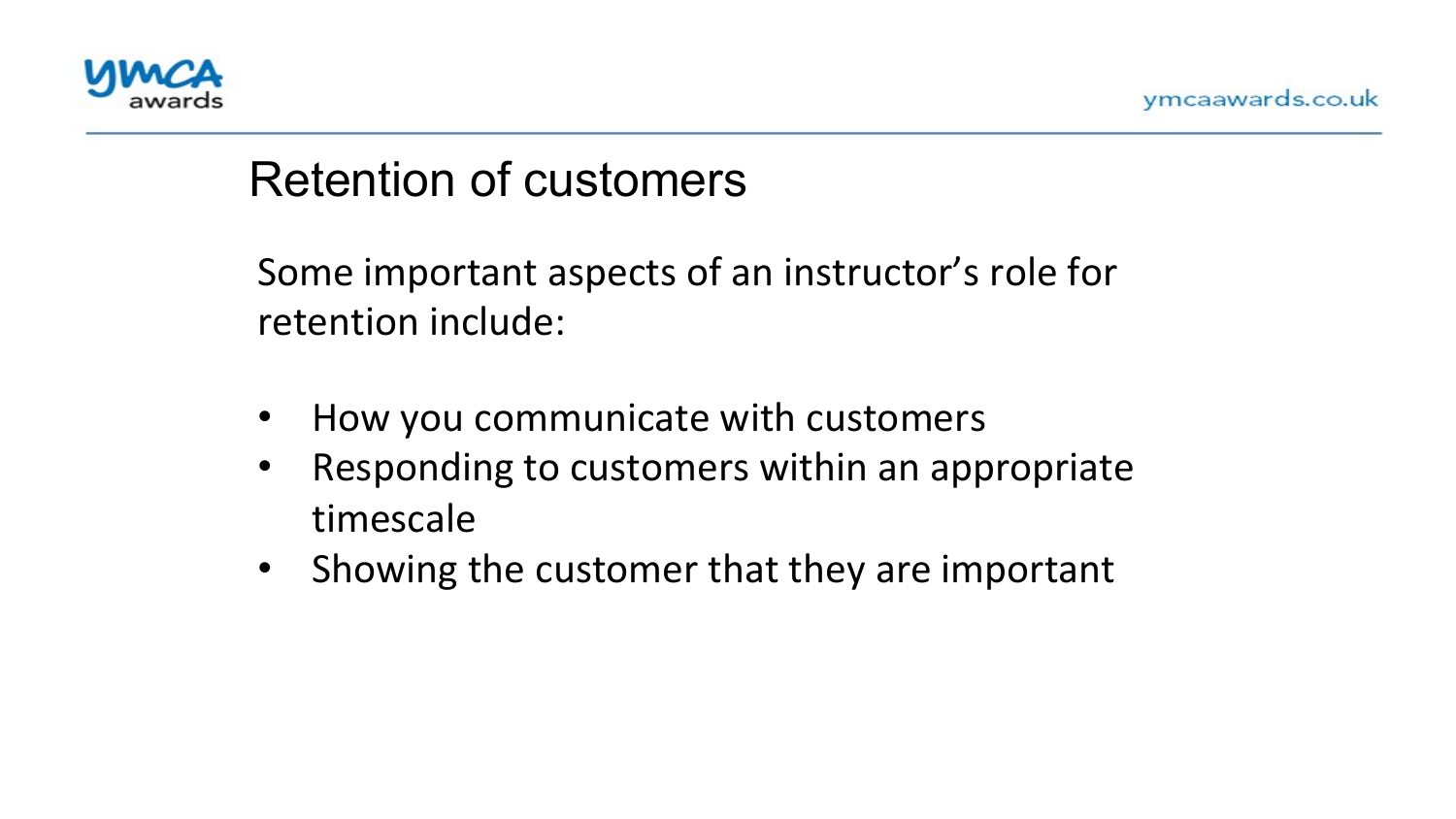

## Retention of customers

Some important aspects of an instructor's role for retention include:

- How you communicate with customers
- Responding to customers within an appropriate timescale
- Showing the customer that they are important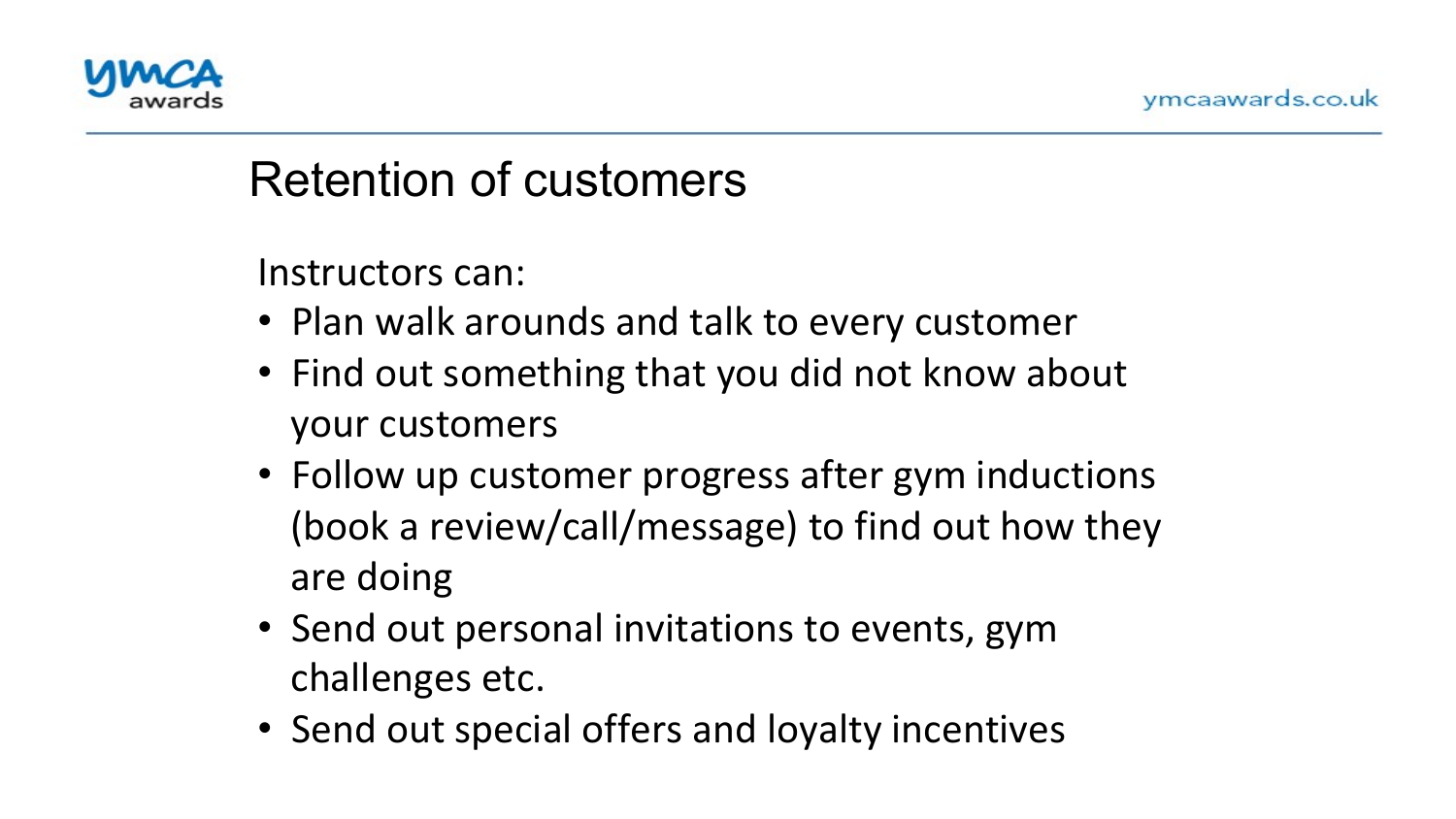

#### Retention of customers

Instructors can:

- Plan walk arounds and talk to every customer
- Find out something that you did not know about your customers
- Follow up customer progress after gym inductions (book a review/call/message) to find out how they are doing
- Send out personal invitations to events, gym challenges etc.
- Send out special offers and loyalty incentives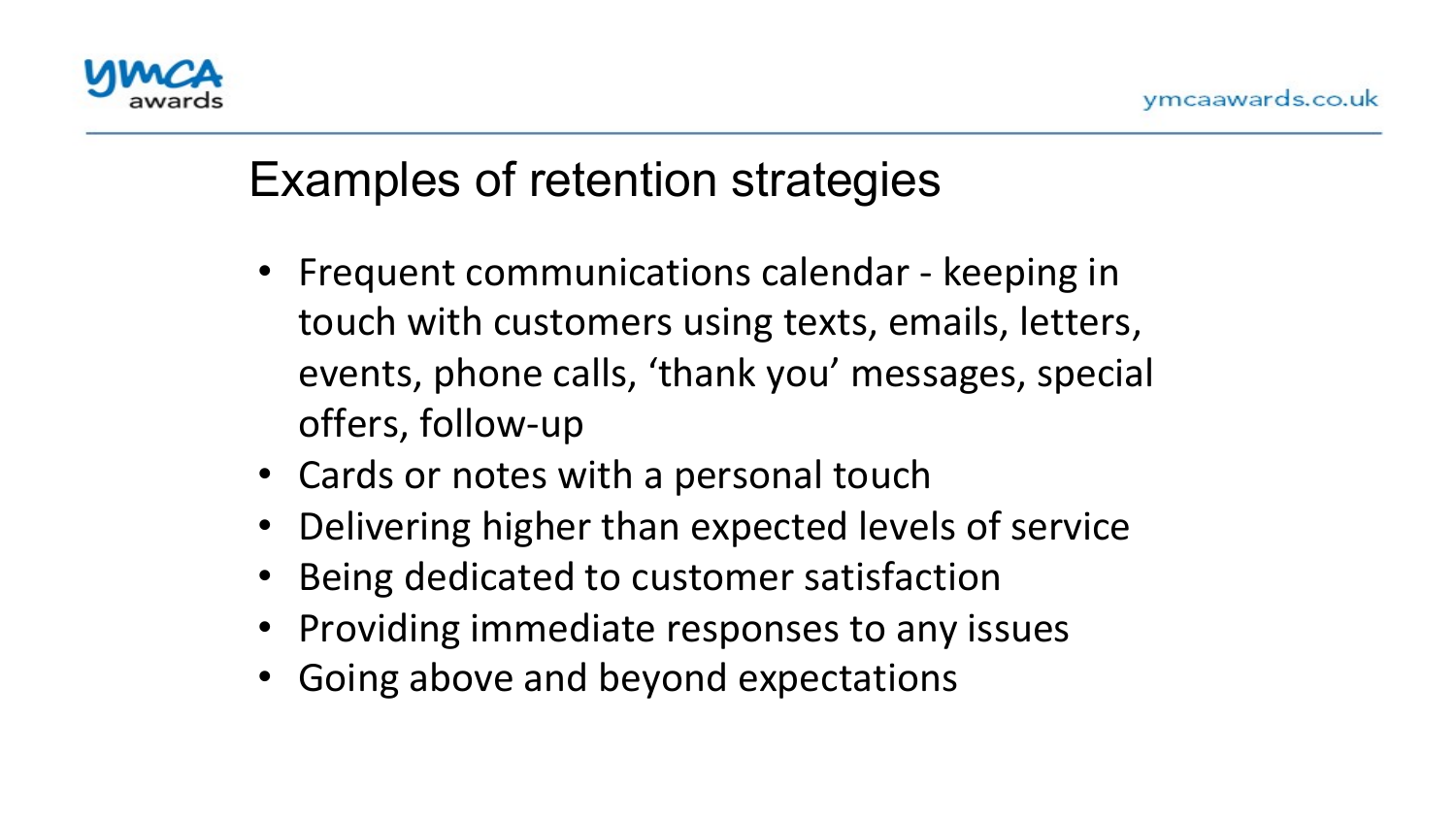

## Examples of retention strategies

- Frequent communications calendar keeping in touch with customers using texts, emails, letters, events, phone calls, 'thank you' messages, special offers, follow-up
- Cards or notes with a personal touch
- Delivering higher than expected levels of service
- Being dedicated to customer satisfaction
- Providing immediate responses to any issues
- Going above and beyond expectations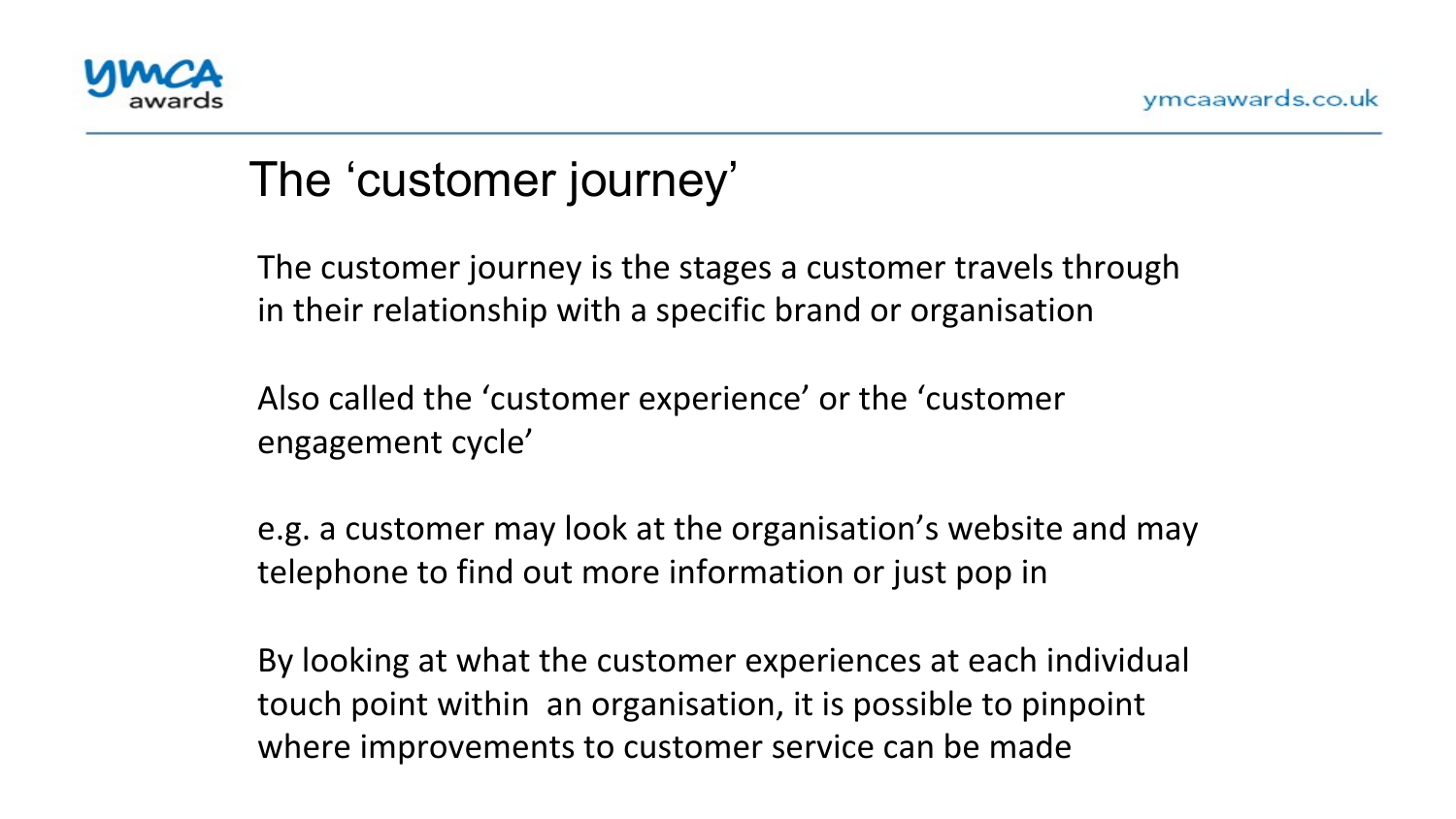

# The 'customer journey'

The customer journey is the stages a customer travels through in their relationship with a specific brand or organisation

Also called the 'customer experience' or the 'customer engagement cycle'

e.g. a customer may look at the organisation's website and may telephone to find out more information or just pop in

By looking at what the customer experiences at each individual touch point within an organisation, it is possible to pinpoint where improvements to customer service can be made